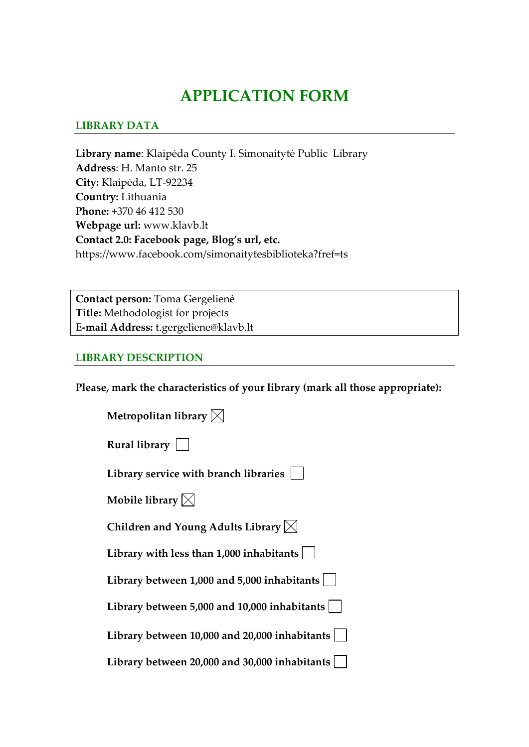# **APPLICATION FORM**

#### **LIBRARY DATA**

**Library name**: Klaipėda County I. Simonaitytė Public Library **Address**: H. Manto str. 25 **City:** Klaipėda, LT-92234 **Country:** Lithuania **Phone:** +370 46 412 530 **Webpage url:** www.klavb.lt **Contact 2.0: Facebook page, Blog's url, etc.**  https://www.facebook.com/simonaitytesbiblioteka?fref=ts

**Contact person:** Toma Gergelienė **Title:** Methodologist for projects **E-mail Address:** t.gergeliene@klavb.lt

#### **LIBRARY DESCRIPTION**

**Please, mark the characteristics of your library (mark all those appropriate):**

| Metropolitan library $\boxtimes$                 |
|--------------------------------------------------|
| Rural library $ $                                |
| Library service with branch libraries            |
| Mobile library $\boxtimes$                       |
| Children and Young Adults Library $\boxtimes$    |
| Library with less than $1,000$ inhabitants $ $   |
| Library between 1,000 and 5,000 inhabitants      |
| Library between 5,000 and 10,000 inhabitants $ $ |
| Library between 10,000 and 20,000 inhabitants    |
| Library between 20,000 and 30,000 inhabitants    |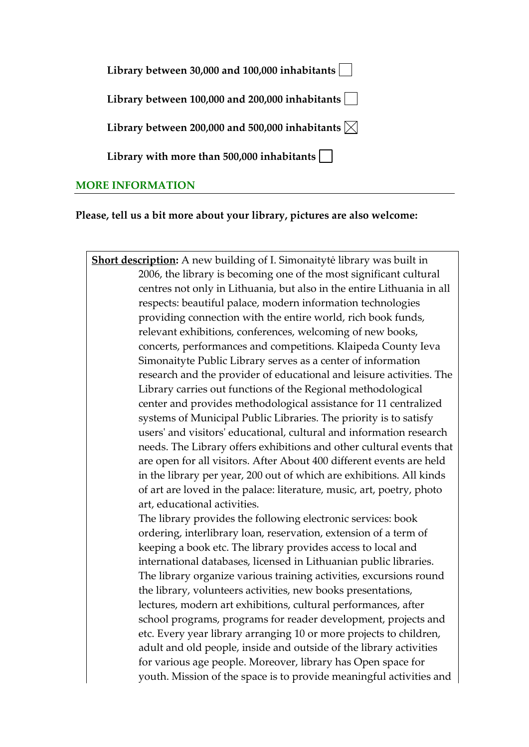| Library between 30,000 and 100,000 inhabitants $\vert \ \ \vert$ |  |
|------------------------------------------------------------------|--|
| Library between 100,000 and 200,000 inhabitants                  |  |
| Library between 200,000 and 500,000 inhabitants $\boxtimes$      |  |
| Library with more than 500,000 inhabitants $\vert \ \ \vert$     |  |
| ייחר היידו                                                       |  |

#### **MORE INFORMATION**

**Please, tell us a bit more about your library, pictures are also welcome:**

**Short description:** A new building of I. Simonaitytė library was built in 2006, the library is becoming one of the most significant cultural centres not only in Lithuania, but also in the entire Lithuania in all respects: beautiful palace, modern information technologies providing connection with the entire world, rich book funds, relevant exhibitions, conferences, welcoming of new books, concerts, performances and competitions. Klaipeda County Ieva Simonaityte Public Library serves as a center of information research and the provider of educational and leisure activities. The Library carries out functions of the Regional methodological center and provides methodological assistance for 11 centralized systems of Municipal Public Libraries. The priority is to satisfy users' and visitors' educational, cultural and information research needs. The Library offers exhibitions and other cultural events that are open for all visitors. After About 400 different events are held in the library per year, 200 out of which are exhibitions. All kinds of art are loved in the palace: literature, music, art, poetry, photo art, educational activities. The library provides the following electronic services: book

ordering, interlibrary loan, reservation, extension of a term of keeping a book etc. The library provides access to local and international databases, licensed in Lithuanian public libraries. The library organize various training activities, excursions round the library, volunteers activities, new books presentations, lectures, modern art exhibitions, cultural performances, after school programs, programs for reader development, projects and etc. Every year library arranging 10 or more projects to children, adult and old people, inside and outside of the library activities for various age people. Moreover, library has Open space for youth. Mission of the space is to provide meaningful activities and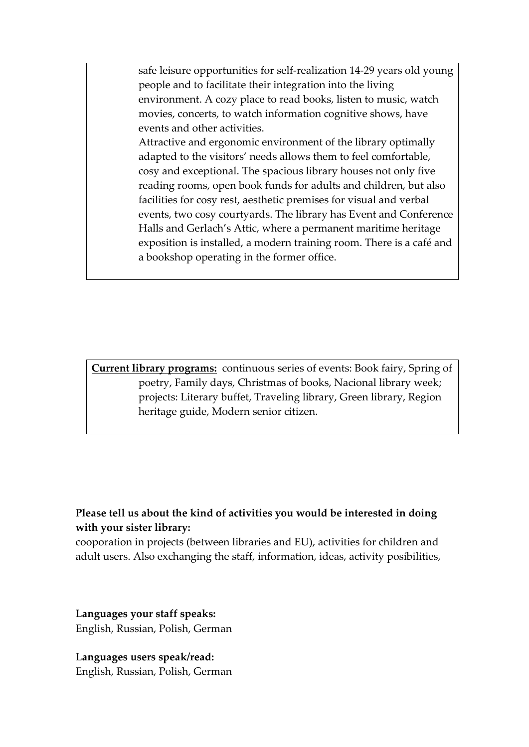safe leisure opportunities for self-realization 14-29 years old young people and to facilitate their integration into the living environment. A cozy place to read books, listen to music, watch movies, concerts, to watch information cognitive shows, have events and other activities.

Attractive and ergonomic environment of the library optimally adapted to the visitors' needs allows them to feel comfortable, cosy and exceptional. The spacious library houses not only five reading rooms, open book funds for adults and children, but also facilities for cosy rest, aesthetic premises for visual and verbal events, two cosy courtyards. The library has Event and Conference Halls and Gerlach's Attic, where a permanent maritime heritage exposition is installed, a modern training room. There is a café and a bookshop operating in the former office.

**Current library programs:** continuous series of events: Book fairy, Spring of poetry, Family days, Christmas of books, Nacional library week; projects: Literary buffet, Traveling library, Green library, Region heritage guide, Modern senior citizen.

#### **Please tell us about the kind of activities you would be interested in doing with your sister library:**

cooporation in projects (between libraries and EU), activities for children and adult users. Also exchanging the staff, information, ideas, activity posibilities,

**Languages your staff speaks:** English, Russian, Polish, German

**Languages users speak/read:** English, Russian, Polish, German